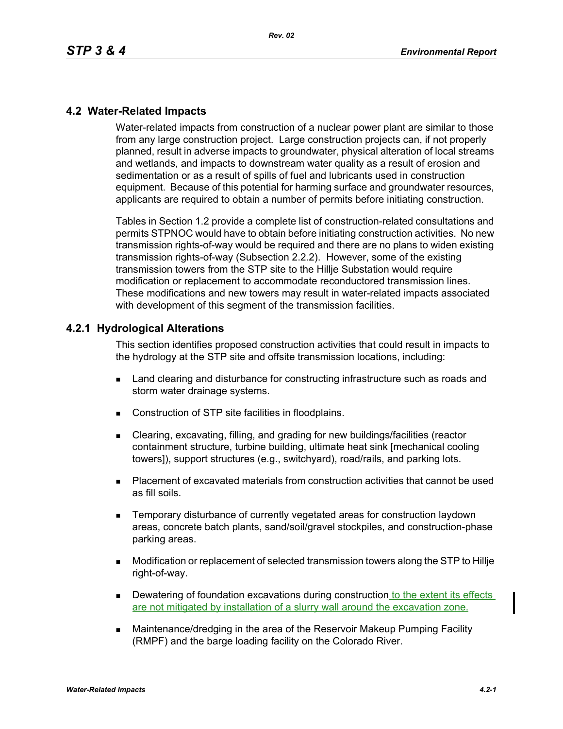## **4.2 Water-Related Impacts**

Water-related impacts from construction of a nuclear power plant are similar to those from any large construction project. Large construction projects can, if not properly planned, result in adverse impacts to groundwater, physical alteration of local streams and wetlands, and impacts to downstream water quality as a result of erosion and sedimentation or as a result of spills of fuel and lubricants used in construction equipment. Because of this potential for harming surface and groundwater resources, applicants are required to obtain a number of permits before initiating construction.

Tables in Section 1.2 provide a complete list of construction-related consultations and permits STPNOC would have to obtain before initiating construction activities. No new transmission rights-of-way would be required and there are no plans to widen existing transmission rights-of-way (Subsection 2.2.2). However, some of the existing transmission towers from the STP site to the Hillje Substation would require modification or replacement to accommodate reconductored transmission lines. These modifications and new towers may result in water-related impacts associated with development of this segment of the transmission facilities.

## **4.2.1 Hydrological Alterations**

This section identifies proposed construction activities that could result in impacts to the hydrology at the STP site and offsite transmission locations, including:

- **EXEC** Land clearing and disturbance for constructing infrastructure such as roads and storm water drainage systems.
- Construction of STP site facilities in floodplains.
- Clearing, excavating, filling, and grading for new buildings/facilities (reactor containment structure, turbine building, ultimate heat sink [mechanical cooling towers]), support structures (e.g., switchyard), road/rails, and parking lots.
- Placement of excavated materials from construction activities that cannot be used as fill soils.
- **EXECTE TEMPORARY DISTINGUION CONSTRANGED META** TEMPORATION IS THE MOVING THE TEMPORARY TEMPORANGED **TEMPORAGHLY** areas, concrete batch plants, sand/soil/gravel stockpiles, and construction-phase parking areas.
- Modification or replacement of selected transmission towers along the STP to Hillje right-of-way.
- **Dewatering of foundation excavations during construction to the extent its effects** are not mitigated by installation of a slurry wall around the excavation zone.
- Maintenance/dredging in the area of the Reservoir Makeup Pumping Facility (RMPF) and the barge loading facility on the Colorado River.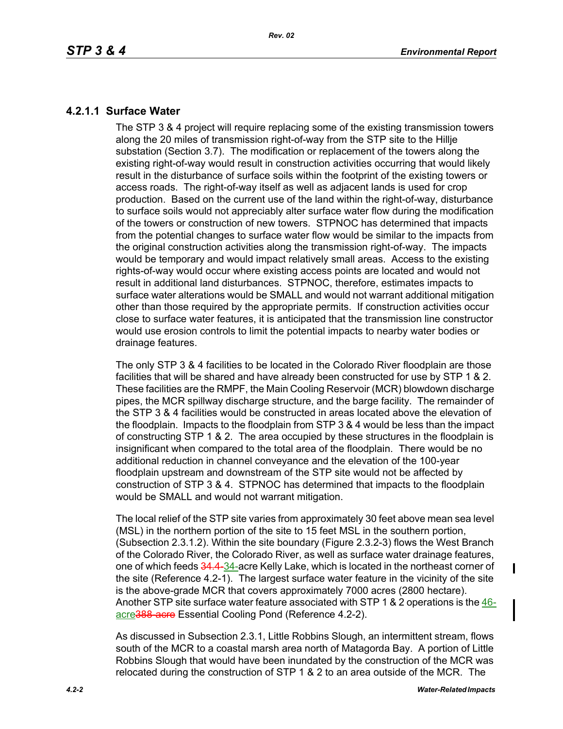# **4.2.1.1 Surface Water**

The STP 3 & 4 project will require replacing some of the existing transmission towers along the 20 miles of transmission right-of-way from the STP site to the Hillje substation (Section 3.7). The modification or replacement of the towers along the existing right-of-way would result in construction activities occurring that would likely result in the disturbance of surface soils within the footprint of the existing towers or access roads. The right-of-way itself as well as adjacent lands is used for crop production. Based on the current use of the land within the right-of-way, disturbance to surface soils would not appreciably alter surface water flow during the modification of the towers or construction of new towers. STPNOC has determined that impacts from the potential changes to surface water flow would be similar to the impacts from the original construction activities along the transmission right-of-way. The impacts would be temporary and would impact relatively small areas. Access to the existing rights-of-way would occur where existing access points are located and would not result in additional land disturbances. STPNOC, therefore, estimates impacts to surface water alterations would be SMALL and would not warrant additional mitigation other than those required by the appropriate permits. If construction activities occur close to surface water features, it is anticipated that the transmission line constructor would use erosion controls to limit the potential impacts to nearby water bodies or drainage features.

The only STP 3 & 4 facilities to be located in the Colorado River floodplain are those facilities that will be shared and have already been constructed for use by STP 1 & 2. These facilities are the RMPF, the Main Cooling Reservoir (MCR) blowdown discharge pipes, the MCR spillway discharge structure, and the barge facility. The remainder of the STP 3 & 4 facilities would be constructed in areas located above the elevation of the floodplain. Impacts to the floodplain from STP 3 & 4 would be less than the impact of constructing STP 1 & 2. The area occupied by these structures in the floodplain is insignificant when compared to the total area of the floodplain. There would be no additional reduction in channel conveyance and the elevation of the 100-year floodplain upstream and downstream of the STP site would not be affected by construction of STP 3 & 4. STPNOC has determined that impacts to the floodplain would be SMALL and would not warrant mitigation.

The local relief of the STP site varies from approximately 30 feet above mean sea level (MSL) in the northern portion of the site to 15 feet MSL in the southern portion, (Subsection 2.3.1.2). Within the site boundary (Figure 2.3.2-3) flows the West Branch of the Colorado River, the Colorado River, as well as surface water drainage features, one of which feeds 34.4-34-acre Kelly Lake, which is located in the northeast corner of the site (Reference 4.2-1). The largest surface water feature in the vicinity of the site is the above-grade MCR that covers approximately 7000 acres (2800 hectare). Another STP site surface water feature associated with STP 1 & 2 operations is the 46acre388 acre Essential Cooling Pond (Reference 4.2-2).

As discussed in Subsection 2.3.1, Little Robbins Slough, an intermittent stream, flows south of the MCR to a coastal marsh area north of Matagorda Bay. A portion of Little Robbins Slough that would have been inundated by the construction of the MCR was relocated during the construction of STP 1 & 2 to an area outside of the MCR. The

П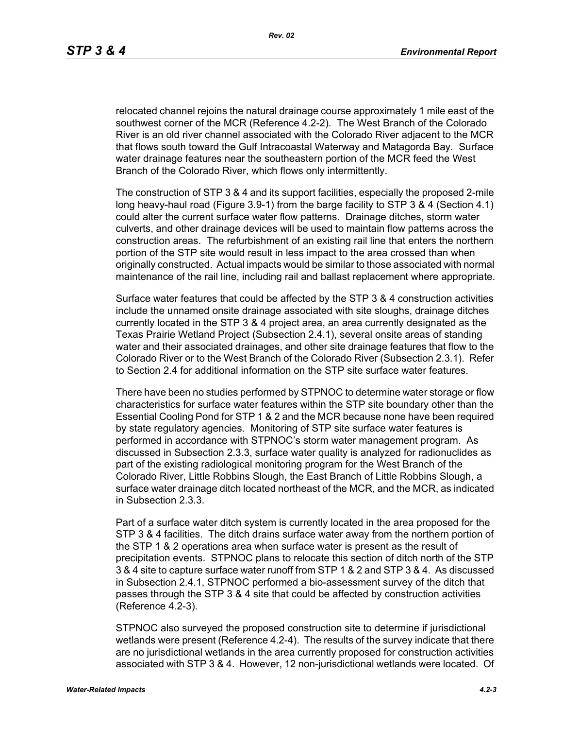relocated channel rejoins the natural drainage course approximately 1 mile east of the southwest corner of the MCR (Reference 4.2-2). The West Branch of the Colorado River is an old river channel associated with the Colorado River adjacent to the MCR that flows south toward the Gulf Intracoastal Waterway and Matagorda Bay. Surface water drainage features near the southeastern portion of the MCR feed the West Branch of the Colorado River, which flows only intermittently.

The construction of STP 3 & 4 and its support facilities, especially the proposed 2-mile long heavy-haul road (Figure 3.9-1) from the barge facility to STP 3 & 4 (Section 4.1) could alter the current surface water flow patterns. Drainage ditches, storm water culverts, and other drainage devices will be used to maintain flow patterns across the construction areas. The refurbishment of an existing rail line that enters the northern portion of the STP site would result in less impact to the area crossed than when originally constructed. Actual impacts would be similar to those associated with normal maintenance of the rail line, including rail and ballast replacement where appropriate.

Surface water features that could be affected by the STP 3 & 4 construction activities include the unnamed onsite drainage associated with site sloughs, drainage ditches currently located in the STP 3 & 4 project area, an area currently designated as the Texas Prairie Wetland Project (Subsection 2.4.1), several onsite areas of standing water and their associated drainages, and other site drainage features that flow to the Colorado River or to the West Branch of the Colorado River (Subsection 2.3.1). Refer to Section 2.4 for additional information on the STP site surface water features.

There have been no studies performed by STPNOC to determine water storage or flow characteristics for surface water features within the STP site boundary other than the Essential Cooling Pond for STP 1 & 2 and the MCR because none have been required by state regulatory agencies. Monitoring of STP site surface water features is performed in accordance with STPNOC's storm water management program. As discussed in Subsection 2.3.3, surface water quality is analyzed for radionuclides as part of the existing radiological monitoring program for the West Branch of the Colorado River, Little Robbins Slough, the East Branch of Little Robbins Slough, a surface water drainage ditch located northeast of the MCR, and the MCR, as indicated in Subsection 2.3.3.

Part of a surface water ditch system is currently located in the area proposed for the STP 3 & 4 facilities. The ditch drains surface water away from the northern portion of the STP 1 & 2 operations area when surface water is present as the result of precipitation events. STPNOC plans to relocate this section of ditch north of the STP 3 & 4 site to capture surface water runoff from STP 1 & 2 and STP 3 & 4. As discussed in Subsection 2.4.1, STPNOC performed a bio-assessment survey of the ditch that passes through the STP 3 & 4 site that could be affected by construction activities (Reference 4.2-3).

STPNOC also surveyed the proposed construction site to determine if jurisdictional wetlands were present (Reference 4.2-4). The results of the survey indicate that there are no jurisdictional wetlands in the area currently proposed for construction activities associated with STP 3 & 4. However, 12 non-jurisdictional wetlands were located. Of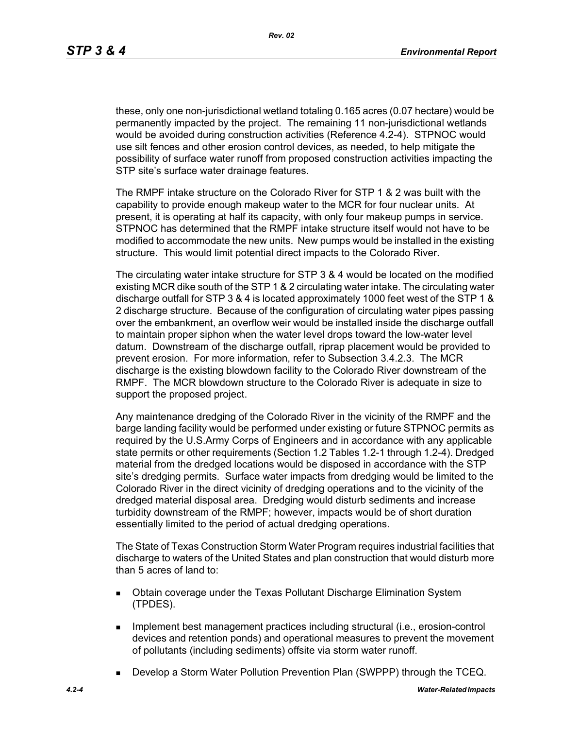these, only one non-jurisdictional wetland totaling 0.165 acres (0.07 hectare) would be permanently impacted by the project. The remaining 11 non-jurisdictional wetlands would be avoided during construction activities (Reference 4.2-4). STPNOC would use silt fences and other erosion control devices, as needed, to help mitigate the possibility of surface water runoff from proposed construction activities impacting the STP site's surface water drainage features.

The RMPF intake structure on the Colorado River for STP 1 & 2 was built with the capability to provide enough makeup water to the MCR for four nuclear units. At present, it is operating at half its capacity, with only four makeup pumps in service. STPNOC has determined that the RMPF intake structure itself would not have to be modified to accommodate the new units. New pumps would be installed in the existing structure. This would limit potential direct impacts to the Colorado River.

The circulating water intake structure for STP 3 & 4 would be located on the modified existing MCR dike south of the STP 1 & 2 circulating water intake. The circulating water discharge outfall for STP 3 & 4 is located approximately 1000 feet west of the STP 1 & 2 discharge structure. Because of the configuration of circulating water pipes passing over the embankment, an overflow weir would be installed inside the discharge outfall to maintain proper siphon when the water level drops toward the low-water level datum. Downstream of the discharge outfall, riprap placement would be provided to prevent erosion. For more information, refer to Subsection 3.4.2.3. The MCR discharge is the existing blowdown facility to the Colorado River downstream of the RMPF. The MCR blowdown structure to the Colorado River is adequate in size to support the proposed project.

Any maintenance dredging of the Colorado River in the vicinity of the RMPF and the barge landing facility would be performed under existing or future STPNOC permits as required by the U.S.Army Corps of Engineers and in accordance with any applicable state permits or other requirements (Section 1.2 Tables 1.2-1 through 1.2-4). Dredged material from the dredged locations would be disposed in accordance with the STP site's dredging permits. Surface water impacts from dredging would be limited to the Colorado River in the direct vicinity of dredging operations and to the vicinity of the dredged material disposal area. Dredging would disturb sediments and increase turbidity downstream of the RMPF; however, impacts would be of short duration essentially limited to the period of actual dredging operations.

The State of Texas Construction Storm Water Program requires industrial facilities that discharge to waters of the United States and plan construction that would disturb more than 5 acres of land to:

- **Dbtain coverage under the Texas Pollutant Discharge Elimination System** (TPDES).
- **IMPLEMENT CONTEX 1** Implement practices including structural (i.e., erosion-control devices and retention ponds) and operational measures to prevent the movement of pollutants (including sediments) offsite via storm water runoff.
- Develop a Storm Water Pollution Prevention Plan (SWPPP) through the TCEQ.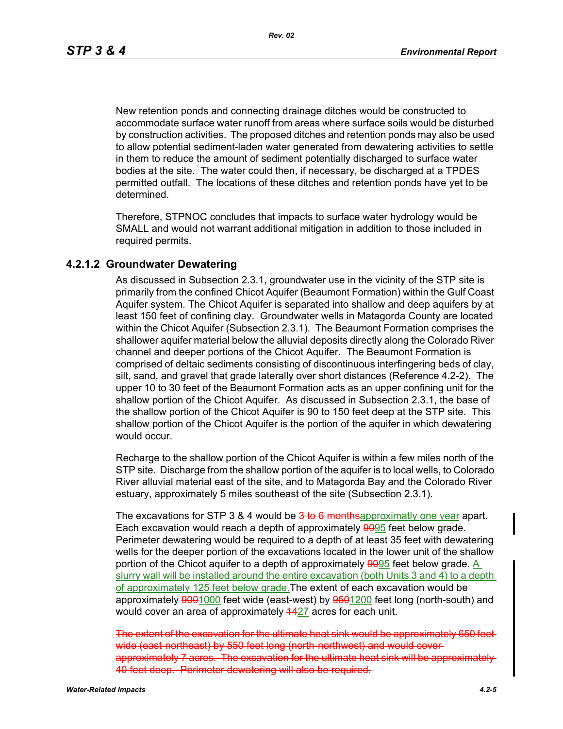New retention ponds and connecting drainage ditches would be constructed to accommodate surface water runoff from areas where surface soils would be disturbed by construction activities. The proposed ditches and retention ponds may also be used to allow potential sediment-laden water generated from dewatering activities to settle in them to reduce the amount of sediment potentially discharged to surface water bodies at the site. The water could then, if necessary, be discharged at a TPDES permitted outfall. The locations of these ditches and retention ponds have yet to be determined.

Therefore, STPNOC concludes that impacts to surface water hydrology would be SMALL and would not warrant additional mitigation in addition to those included in required permits.

#### **4.2.1.2 Groundwater Dewatering**

As discussed in Subsection 2.3.1, groundwater use in the vicinity of the STP site is primarily from the confined Chicot Aquifer (Beaumont Formation) within the Gulf Coast Aquifer system. The Chicot Aquifer is separated into shallow and deep aquifers by at least 150 feet of confining clay. Groundwater wells in Matagorda County are located within the Chicot Aquifer (Subsection 2.3.1). The Beaumont Formation comprises the shallower aquifer material below the alluvial deposits directly along the Colorado River channel and deeper portions of the Chicot Aquifer. The Beaumont Formation is comprised of deltaic sediments consisting of discontinuous interfingering beds of clay, silt, sand, and gravel that grade laterally over short distances (Reference 4.2-2). The upper 10 to 30 feet of the Beaumont Formation acts as an upper confining unit for the shallow portion of the Chicot Aquifer. As discussed in Subsection 2.3.1, the base of the shallow portion of the Chicot Aquifer is 90 to 150 feet deep at the STP site. This shallow portion of the Chicot Aquifer is the portion of the aquifer in which dewatering would occur.

Recharge to the shallow portion of the Chicot Aquifer is within a few miles north of the STP site. Discharge from the shallow portion of the aquifer is to local wells, to Colorado River alluvial material east of the site, and to Matagorda Bay and the Colorado River estuary, approximately 5 miles southeast of the site (Subsection 2.3.1).

The excavations for STP 3 & 4 would be 3 to 6 monthsapproximatly one year apart. Each excavation would reach a depth of approximately 9095 feet below grade. Perimeter dewatering would be required to a depth of at least 35 feet with dewatering wells for the deeper portion of the excavations located in the lower unit of the shallow portion of the Chicot aquifer to a depth of approximately 9095 feet below grade. A slurry wall will be installed around the entire excavation (both Units 3 and 4) to a depth of approximately 125 feet below grade. The extent of each excavation would be approximately 9001000 feet wide (east-west) by 9501200 feet long (north-south) and would cover an area of approximately 4427 acres for each unit.

The extent of the excavation for the ultimate heat sink would be approximately wide (east-northeast) by 550 feet long (north-northwest) and would coverapproximately 7 acres. The excavation for the ultimate heat sink will be 40 feet deep. Perimeter dewatering will also be required.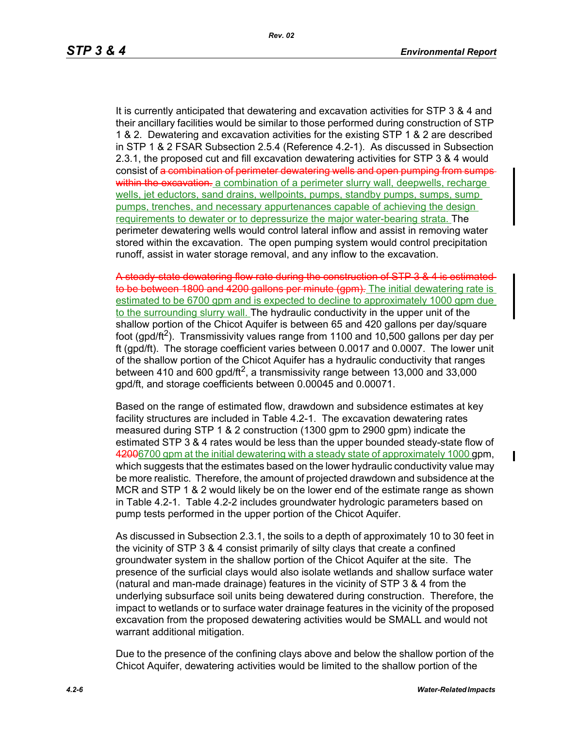It is currently anticipated that dewatering and excavation activities for STP 3 & 4 and their ancillary facilities would be similar to those performed during construction of STP 1 & 2. Dewatering and excavation activities for the existing STP 1 & 2 are described in STP 1 & 2 FSAR Subsection 2.5.4 (Reference 4.2-1). As discussed in Subsection 2.3.1, the proposed cut and fill excavation dewatering activities for STP 3 & 4 would consist of a combination of perimeter dewatering wells and open pumping from sumpswithin the excavation. a combination of a perimeter slurry wall, deepwells, recharge wells, jet eductors, sand drains, wellpoints, pumps, standby pumps, sumps, sump pumps, trenches, and necessary appurtenances capable of achieving the design requirements to dewater or to depressurize the major water-bearing strata. The perimeter dewatering wells would control lateral inflow and assist in removing water stored within the excavation. The open pumping system would control precipitation runoff, assist in water storage removal, and any inflow to the excavation.

A steady-state dewatering flow rate during the construction of STP 3 & 4 is estimated to be between 1800 and 4200 gallons per minute (gpm). The initial dewatering rate is estimated to be 6700 gpm and is expected to decline to approximately 1000 gpm due to the surrounding slurry wall. The hydraulic conductivity in the upper unit of the shallow portion of the Chicot Aquifer is between 65 and 420 gallons per day/square foot (gpd/ft<sup>2</sup>). Transmissivity values range from 1100 and 10,500 gallons per day per ft (gpd/ft). The storage coefficient varies between 0.0017 and 0.0007. The lower unit of the shallow portion of the Chicot Aquifer has a hydraulic conductivity that ranges between 410 and 600 gpd/ft<sup>2</sup>, a transmissivity range between 13,000 and 33,000 gpd/ft, and storage coefficients between 0.00045 and 0.00071.

Based on the range of estimated flow, drawdown and subsidence estimates at key facility structures are included in Table 4.2-1. The excavation dewatering rates measured during STP 1 & 2 construction (1300 gpm to 2900 gpm) indicate the estimated STP 3 & 4 rates would be less than the upper bounded steady-state flow of 42006700 gpm at the initial dewatering with a steady state of approximately 1000 gpm, which suggests that the estimates based on the lower hydraulic conductivity value may be more realistic. Therefore, the amount of projected drawdown and subsidence at the MCR and STP 1 & 2 would likely be on the lower end of the estimate range as shown in Table 4.2-1. Table 4.2-2 includes groundwater hydrologic parameters based on pump tests performed in the upper portion of the Chicot Aquifer.

As discussed in Subsection 2.3.1, the soils to a depth of approximately 10 to 30 feet in the vicinity of STP 3 & 4 consist primarily of silty clays that create a confined groundwater system in the shallow portion of the Chicot Aquifer at the site. The presence of the surficial clays would also isolate wetlands and shallow surface water (natural and man-made drainage) features in the vicinity of STP 3 & 4 from the underlying subsurface soil units being dewatered during construction. Therefore, the impact to wetlands or to surface water drainage features in the vicinity of the proposed excavation from the proposed dewatering activities would be SMALL and would not warrant additional mitigation.

Due to the presence of the confining clays above and below the shallow portion of the Chicot Aquifer, dewatering activities would be limited to the shallow portion of the

 $\mathbf I$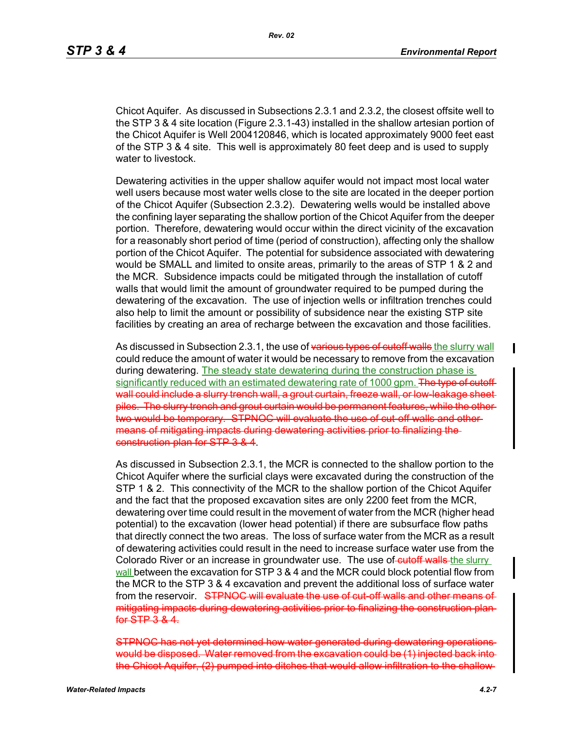Chicot Aquifer. As discussed in Subsections 2.3.1 and 2.3.2, the closest offsite well to the STP 3 & 4 site location (Figure 2.3.1-43) installed in the shallow artesian portion of the Chicot Aquifer is Well 2004120846, which is located approximately 9000 feet east of the STP 3 & 4 site. This well is approximately 80 feet deep and is used to supply water to livestock.

Dewatering activities in the upper shallow aquifer would not impact most local water well users because most water wells close to the site are located in the deeper portion of the Chicot Aquifer (Subsection 2.3.2). Dewatering wells would be installed above the confining layer separating the shallow portion of the Chicot Aquifer from the deeper portion. Therefore, dewatering would occur within the direct vicinity of the excavation for a reasonably short period of time (period of construction), affecting only the shallow portion of the Chicot Aquifer. The potential for subsidence associated with dewatering would be SMALL and limited to onsite areas, primarily to the areas of STP 1 & 2 and the MCR. Subsidence impacts could be mitigated through the installation of cutoff walls that would limit the amount of groundwater required to be pumped during the dewatering of the excavation. The use of injection wells or infiltration trenches could also help to limit the amount or possibility of subsidence near the existing STP site facilities by creating an area of recharge between the excavation and those facilities.

As discussed in Subsection 2.3.1, the use of various types of cutoff walls the slurry wall could reduce the amount of water it would be necessary to remove from the excavation during dewatering. The steady state dewatering during the construction phase is significantly reduced with an estimated dewatering rate of 1000 gpm. The type of cutoffwall could include a slurry trench wall, a grout curtain, freeze wall, or low-leakage sheetpiles. The slurry trench and grout curtain would be permanent features, while the other two would be temporary. STPNOC will evaluate the use of cut-off walls and othermeans of mitigating impacts during dewatering activities prior to finalizing the construction plan for STP 3 & 4.

As discussed in Subsection 2.3.1, the MCR is connected to the shallow portion to the Chicot Aquifer where the surficial clays were excavated during the construction of the STP 1 & 2. This connectivity of the MCR to the shallow portion of the Chicot Aquifer and the fact that the proposed excavation sites are only 2200 feet from the MCR, dewatering over time could result in the movement of water from the MCR (higher head potential) to the excavation (lower head potential) if there are subsurface flow paths that directly connect the two areas. The loss of surface water from the MCR as a result of dewatering activities could result in the need to increase surface water use from the Colorado River or an increase in groundwater use. The use of cutoff walls the slurry wall between the excavation for STP 3 & 4 and the MCR could block potential flow from the MCR to the STP 3 & 4 excavation and prevent the additional loss of surface water from the reservoir. STPNOC will evaluate the use of cut-off walls and other means of mitigating impacts during dewatering activities prior to finalizing the construction plan for STP 3 & 4.

STPNOC has not yet determined how water generated during dewatering oper would be disposed. Water removed from the excavation could be (1) injected back into the Chicot Aquifer, (2) pumped into ditches that would allow infiltration to the shallow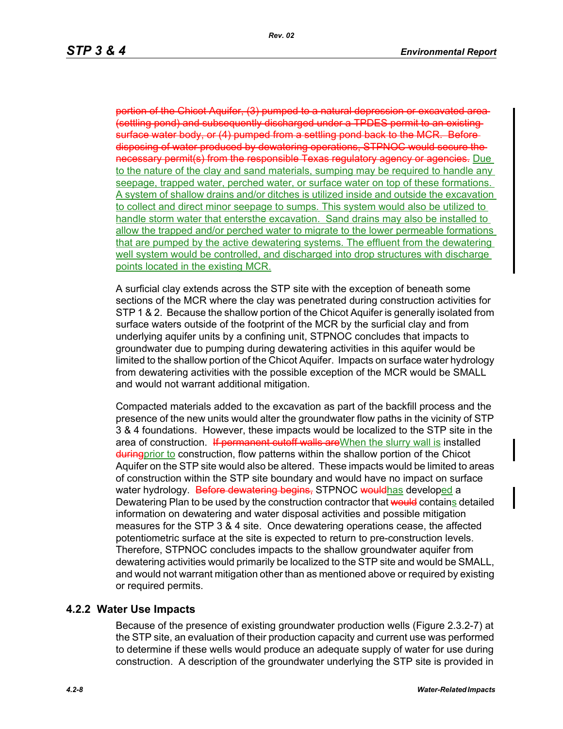hicot Aquifer, (3) pumped to a natural depression (settling pond) and subsequently discharged under a TPDES permit to an existing surface water body, or (4) pumped from a settling pond back to the MCR. Before disposing of water produced by dewatering operations, STPNOC would secure the necessary permit(s) from the responsible Texas regulatory agency or agencies. Due to the nature of the clay and sand materials, sumping may be required to handle any seepage, trapped water, perched water, or surface water on top of these formations. A system of shallow drains and/or ditches is utilized inside and outside the excavation to collect and direct minor seepage to sumps. This system would also be utilized to handle storm water that entersthe excavation. Sand drains may also be installed to allow the trapped and/or perched water to migrate to the lower permeable formations that are pumped by the active dewatering systems. The effluent from the dewatering well system would be controlled, and discharged into drop structures with discharge points located in the existing MCR.

A surficial clay extends across the STP site with the exception of beneath some sections of the MCR where the clay was penetrated during construction activities for STP 1 & 2. Because the shallow portion of the Chicot Aquifer is generally isolated from surface waters outside of the footprint of the MCR by the surficial clay and from underlying aquifer units by a confining unit, STPNOC concludes that impacts to groundwater due to pumping during dewatering activities in this aquifer would be limited to the shallow portion of the Chicot Aquifer. Impacts on surface water hydrology from dewatering activities with the possible exception of the MCR would be SMALL and would not warrant additional mitigation.

Compacted materials added to the excavation as part of the backfill process and the presence of the new units would alter the groundwater flow paths in the vicinity of STP 3 & 4 foundations. However, these impacts would be localized to the STP site in the area of construction. If permanent cutoff walls are When the slurry wall is installed during prior to construction, flow patterns within the shallow portion of the Chicot Aquifer on the STP site would also be altered. These impacts would be limited to areas of construction within the STP site boundary and would have no impact on surface water hydrology. Before dewatering begins, STPNOC wouldhas developed a Dewatering Plan to be used by the construction contractor that would contains detailed information on dewatering and water disposal activities and possible mitigation measures for the STP 3 & 4 site. Once dewatering operations cease, the affected potentiometric surface at the site is expected to return to pre-construction levels. Therefore, STPNOC concludes impacts to the shallow groundwater aquifer from dewatering activities would primarily be localized to the STP site and would be SMALL, and would not warrant mitigation other than as mentioned above or required by existing or required permits.

## **4.2.2 Water Use Impacts**

Because of the presence of existing groundwater production wells (Figure 2.3.2-7) at the STP site, an evaluation of their production capacity and current use was performed to determine if these wells would produce an adequate supply of water for use during construction. A description of the groundwater underlying the STP site is provided in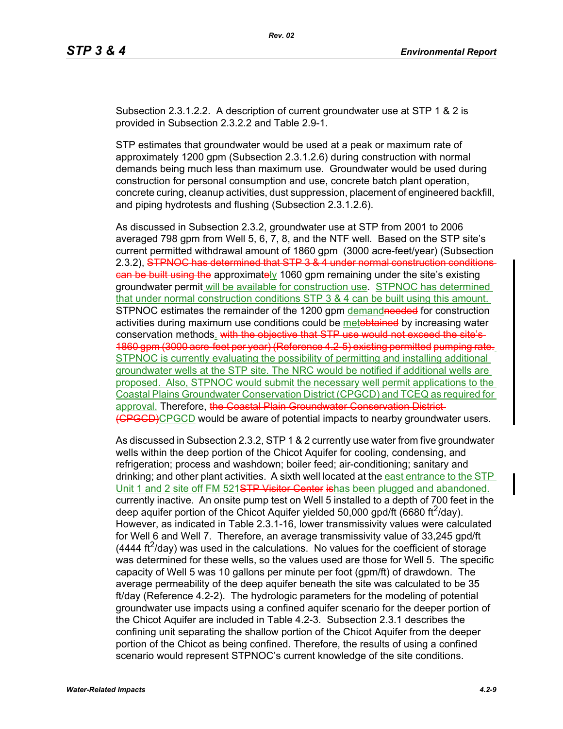Subsection 2.3.1.2.2. A description of current groundwater use at STP 1 & 2 is provided in Subsection 2.3.2.2 and Table 2.9-1.

STP estimates that groundwater would be used at a peak or maximum rate of approximately 1200 gpm (Subsection 2.3.1.2.6) during construction with normal demands being much less than maximum use. Groundwater would be used during construction for personal consumption and use, concrete batch plant operation, concrete curing, cleanup activities, dust suppression, placement of engineered backfill, and piping hydrotests and flushing (Subsection 2.3.1.2.6).

As discussed in Subsection 2.3.2, groundwater use at STP from 2001 to 2006 averaged 798 gpm from Well 5, 6, 7, 8, and the NTF well. Based on the STP site's current permitted withdrawal amount of 1860 gpm (3000 acre-feet/year) (Subsection 2.3.2), STPNOC has determined that STP 3 & 4 under normal construction ean be built using the approximately 1060 gpm remaining under the site's existing groundwater permit will be available for construction use. STPNOC has determined that under normal construction conditions STP 3 & 4 can be built using this amount. STPNOC estimates the remainder of the 1200 gpm demandneeded for construction activities during maximum use conditions could be metobtained by increasing water conservation methods. with the objective that STP use would not exceed the site's 1860 gpm (3000 acre-feet per year) (Reference 4.2-5) existing permitted pumping rate. STPNOC is currently evaluating the possibility of permitting and installing additional groundwater wells at the STP site. The NRC would be notified if additional wells are proposed. Also, STPNOC would submit the necessary well permit applications to the Coastal Plains Groundwater Conservation District (CPGCD) and TCEQ as required for approval. Therefore, the Coastal Plain Groundwater Conservation District-(CPGCD)CPGCD would be aware of potential impacts to nearby groundwater users.

As discussed in Subsection 2.3.2, STP 1 & 2 currently use water from five groundwater wells within the deep portion of the Chicot Aquifer for cooling, condensing, and refrigeration; process and washdown; boiler feed; air-conditioning; sanitary and drinking; and other plant activities. A sixth well located at the east entrance to the STP Unit 1 and 2 site off FM 521STP Visitor Center ishas been plugged and abandoned. currently inactive. An onsite pump test on Well 5 installed to a depth of 700 feet in the deep aquifer portion of the Chicot Aquifer yielded 50,000 gpd/ft (6680 ft $^2$ /day). However, as indicated in Table 2.3.1-16, lower transmissivity values were calculated for Well 6 and Well 7. Therefore, an average transmissivity value of 33,245 gpd/ft  $(4444 \text{ ft}^2/\text{day})$  was used in the calculations. No values for the coefficient of storage was determined for these wells, so the values used are those for Well 5. The specific capacity of Well 5 was 10 gallons per minute per foot (gpm/ft) of drawdown. The average permeability of the deep aquifer beneath the site was calculated to be 35 ft/day (Reference 4.2-2). The hydrologic parameters for the modeling of potential groundwater use impacts using a confined aquifer scenario for the deeper portion of the Chicot Aquifer are included in Table 4.2-3. Subsection 2.3.1 describes the confining unit separating the shallow portion of the Chicot Aquifer from the deeper portion of the Chicot as being confined. Therefore, the results of using a confined scenario would represent STPNOC's current knowledge of the site conditions.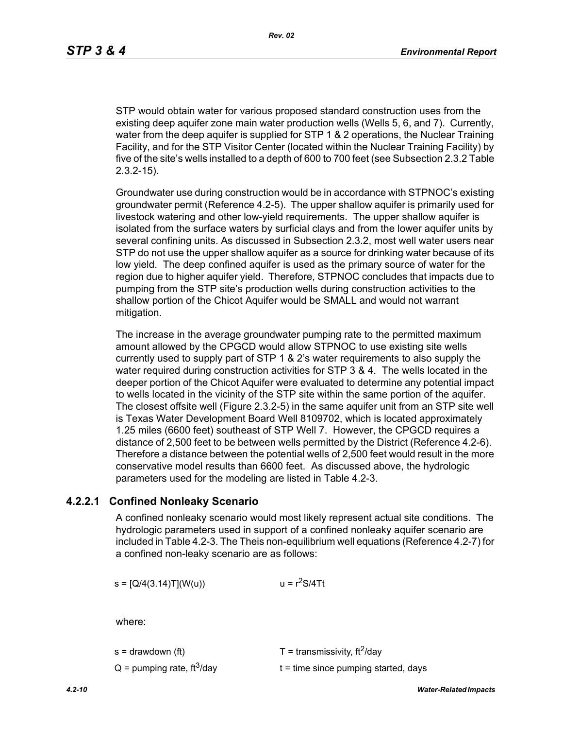STP would obtain water for various proposed standard construction uses from the existing deep aquifer zone main water production wells (Wells 5, 6, and 7). Currently, water from the deep aquifer is supplied for STP 1 & 2 operations, the Nuclear Training Facility, and for the STP Visitor Center (located within the Nuclear Training Facility) by five of the site's wells installed to a depth of 600 to 700 feet (see Subsection 2.3.2 Table 2.3.2-15).

Groundwater use during construction would be in accordance with STPNOC's existing groundwater permit (Reference 4.2-5). The upper shallow aquifer is primarily used for livestock watering and other low-yield requirements. The upper shallow aquifer is isolated from the surface waters by surficial clays and from the lower aquifer units by several confining units. As discussed in Subsection 2.3.2, most well water users near STP do not use the upper shallow aquifer as a source for drinking water because of its low yield. The deep confined aquifer is used as the primary source of water for the region due to higher aquifer yield. Therefore, STPNOC concludes that impacts due to pumping from the STP site's production wells during construction activities to the shallow portion of the Chicot Aquifer would be SMALL and would not warrant mitigation.

The increase in the average groundwater pumping rate to the permitted maximum amount allowed by the CPGCD would allow STPNOC to use existing site wells currently used to supply part of STP 1 & 2's water requirements to also supply the water required during construction activities for STP 3 & 4. The wells located in the deeper portion of the Chicot Aquifer were evaluated to determine any potential impact to wells located in the vicinity of the STP site within the same portion of the aquifer. The closest offsite well (Figure 2.3.2-5) in the same aquifer unit from an STP site well is Texas Water Development Board Well 8109702, which is located approximately 1.25 miles (6600 feet) southeast of STP Well 7. However, the CPGCD requires a distance of 2,500 feet to be between wells permitted by the District (Reference 4.2-6). Therefore a distance between the potential wells of 2,500 feet would result in the more conservative model results than 6600 feet. As discussed above, the hydrologic parameters used for the modeling are listed in Table 4.2-3.

## **4.2.2.1 Confined Nonleaky Scenario**

A confined nonleaky scenario would most likely represent actual site conditions. The hydrologic parameters used in support of a confined nonleaky aquifer scenario are included in Table 4.2-3. The Theis non-equilibrium well equations (Reference 4.2-7) for a confined non-leaky scenario are as follows:

 $s = [Q/4(3.14)T](W(u))$   $u = r<sup>2</sup>S/4Tt$ 

where:

| s = drawdown (ft)                        | T = transmissivity, $\text{ft}^2/\text{day}$ |
|------------------------------------------|----------------------------------------------|
| $Q =$ pumping rate, ft <sup>3</sup> /day | $t =$ time since pumping started, days       |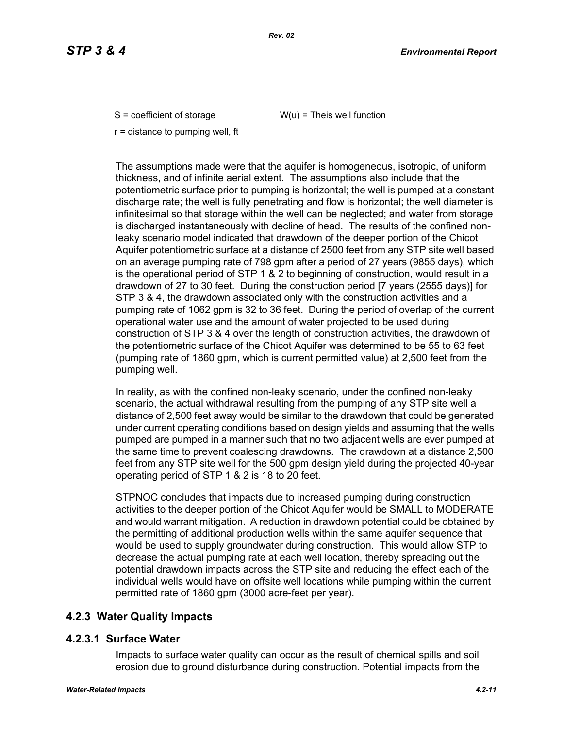$S =$  coefficient of storage  $W(u) =$  Theis well function

r = distance to pumping well, ft

The assumptions made were that the aquifer is homogeneous, isotropic, of uniform thickness, and of infinite aerial extent. The assumptions also include that the potentiometric surface prior to pumping is horizontal; the well is pumped at a constant discharge rate; the well is fully penetrating and flow is horizontal; the well diameter is infinitesimal so that storage within the well can be neglected; and water from storage is discharged instantaneously with decline of head. The results of the confined nonleaky scenario model indicated that drawdown of the deeper portion of the Chicot Aquifer potentiometric surface at a distance of 2500 feet from any STP site well based on an average pumping rate of 798 gpm after a period of 27 years (9855 days), which is the operational period of STP 1 & 2 to beginning of construction, would result in a drawdown of 27 to 30 feet. During the construction period [7 years (2555 days)] for STP 3 & 4, the drawdown associated only with the construction activities and a pumping rate of 1062 gpm is 32 to 36 feet. During the period of overlap of the current operational water use and the amount of water projected to be used during construction of STP 3 & 4 over the length of construction activities, the drawdown of the potentiometric surface of the Chicot Aquifer was determined to be 55 to 63 feet (pumping rate of 1860 gpm, which is current permitted value) at 2,500 feet from the pumping well.

In reality, as with the confined non-leaky scenario, under the confined non-leaky scenario, the actual withdrawal resulting from the pumping of any STP site well a distance of 2,500 feet away would be similar to the drawdown that could be generated under current operating conditions based on design yields and assuming that the wells pumped are pumped in a manner such that no two adjacent wells are ever pumped at the same time to prevent coalescing drawdowns. The drawdown at a distance 2,500 feet from any STP site well for the 500 gpm design yield during the projected 40-year operating period of STP 1 & 2 is 18 to 20 feet.

STPNOC concludes that impacts due to increased pumping during construction activities to the deeper portion of the Chicot Aquifer would be SMALL to MODERATE and would warrant mitigation. A reduction in drawdown potential could be obtained by the permitting of additional production wells within the same aquifer sequence that would be used to supply groundwater during construction. This would allow STP to decrease the actual pumping rate at each well location, thereby spreading out the potential drawdown impacts across the STP site and reducing the effect each of the individual wells would have on offsite well locations while pumping within the current permitted rate of 1860 gpm (3000 acre-feet per year).

# **4.2.3 Water Quality Impacts**

# **4.2.3.1 Surface Water**

Impacts to surface water quality can occur as the result of chemical spills and soil erosion due to ground disturbance during construction. Potential impacts from the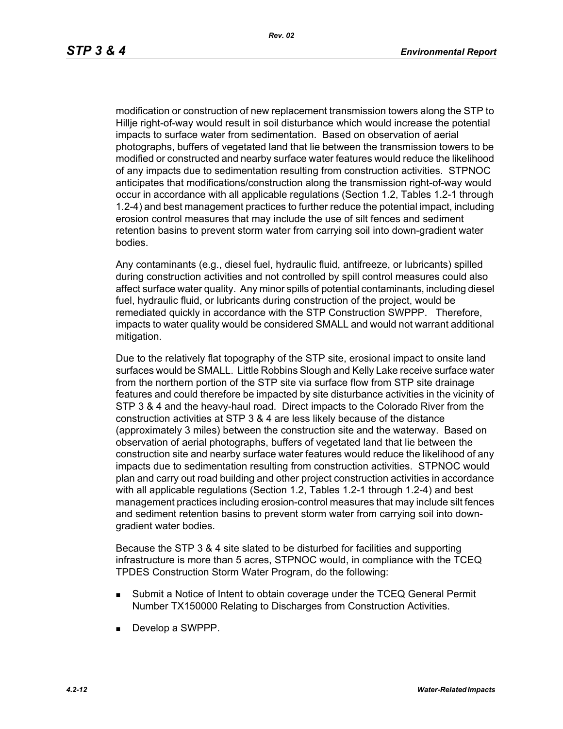modification or construction of new replacement transmission towers along the STP to Hillje right-of-way would result in soil disturbance which would increase the potential impacts to surface water from sedimentation. Based on observation of aerial photographs, buffers of vegetated land that lie between the transmission towers to be modified or constructed and nearby surface water features would reduce the likelihood of any impacts due to sedimentation resulting from construction activities. STPNOC anticipates that modifications/construction along the transmission right-of-way would occur in accordance with all applicable regulations (Section 1.2, Tables 1.2-1 through 1.2-4) and best management practices to further reduce the potential impact, including erosion control measures that may include the use of silt fences and sediment retention basins to prevent storm water from carrying soil into down-gradient water bodies.

Any contaminants (e.g., diesel fuel, hydraulic fluid, antifreeze, or lubricants) spilled during construction activities and not controlled by spill control measures could also affect surface water quality. Any minor spills of potential contaminants, including diesel fuel, hydraulic fluid, or lubricants during construction of the project, would be remediated quickly in accordance with the STP Construction SWPPP. Therefore, impacts to water quality would be considered SMALL and would not warrant additional mitigation.

Due to the relatively flat topography of the STP site, erosional impact to onsite land surfaces would be SMALL. Little Robbins Slough and Kelly Lake receive surface water from the northern portion of the STP site via surface flow from STP site drainage features and could therefore be impacted by site disturbance activities in the vicinity of STP 3 & 4 and the heavy-haul road. Direct impacts to the Colorado River from the construction activities at STP 3 & 4 are less likely because of the distance (approximately 3 miles) between the construction site and the waterway. Based on observation of aerial photographs, buffers of vegetated land that lie between the construction site and nearby surface water features would reduce the likelihood of any impacts due to sedimentation resulting from construction activities. STPNOC would plan and carry out road building and other project construction activities in accordance with all applicable regulations (Section 1.2, Tables 1.2-1 through 1.2-4) and best management practices including erosion-control measures that may include silt fences and sediment retention basins to prevent storm water from carrying soil into downgradient water bodies.

Because the STP 3 & 4 site slated to be disturbed for facilities and supporting infrastructure is more than 5 acres, STPNOC would, in compliance with the TCEQ TPDES Construction Storm Water Program, do the following:

- Submit a Notice of Intent to obtain coverage under the TCEQ General Permit Number TX150000 Relating to Discharges from Construction Activities.
- Develop a SWPPP.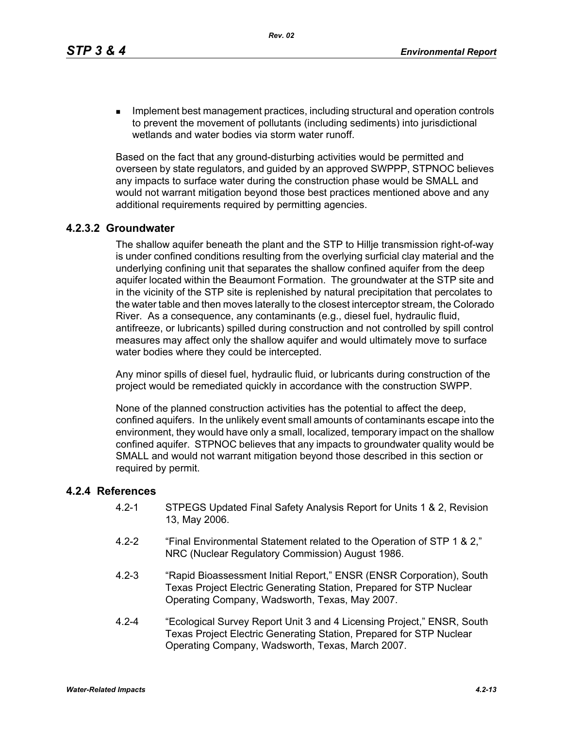**IMPLEMENT MANAGEMENT MANAGEMENT CONTROLLER** Including structural and operation controls to prevent the movement of pollutants (including sediments) into jurisdictional wetlands and water bodies via storm water runoff.

Based on the fact that any ground-disturbing activities would be permitted and overseen by state regulators, and guided by an approved SWPPP, STPNOC believes any impacts to surface water during the construction phase would be SMALL and would not warrant mitigation beyond those best practices mentioned above and any additional requirements required by permitting agencies.

## **4.2.3.2 Groundwater**

The shallow aquifer beneath the plant and the STP to Hillje transmission right-of-way is under confined conditions resulting from the overlying surficial clay material and the underlying confining unit that separates the shallow confined aquifer from the deep aquifer located within the Beaumont Formation. The groundwater at the STP site and in the vicinity of the STP site is replenished by natural precipitation that percolates to the water table and then moves laterally to the closest interceptor stream, the Colorado River. As a consequence, any contaminants (e.g., diesel fuel, hydraulic fluid, antifreeze, or lubricants) spilled during construction and not controlled by spill control measures may affect only the shallow aquifer and would ultimately move to surface water bodies where they could be intercepted.

Any minor spills of diesel fuel, hydraulic fluid, or lubricants during construction of the project would be remediated quickly in accordance with the construction SWPP.

None of the planned construction activities has the potential to affect the deep, confined aquifers. In the unlikely event small amounts of contaminants escape into the environment, they would have only a small, localized, temporary impact on the shallow confined aquifer. STPNOC believes that any impacts to groundwater quality would be SMALL and would not warrant mitigation beyond those described in this section or required by permit.

## **4.2.4 References**

- 4.2-1 STPEGS Updated Final Safety Analysis Report for Units 1 & 2, Revision 13, May 2006.
- 4.2-2 "Final Environmental Statement related to the Operation of STP 1 & 2," NRC (Nuclear Regulatory Commission) August 1986.
- 4.2-3 "Rapid Bioassessment Initial Report," ENSR (ENSR Corporation), South Texas Project Electric Generating Station, Prepared for STP Nuclear Operating Company, Wadsworth, Texas, May 2007.
- 4.2-4 "Ecological Survey Report Unit 3 and 4 Licensing Project," ENSR, South Texas Project Electric Generating Station, Prepared for STP Nuclear Operating Company, Wadsworth, Texas, March 2007.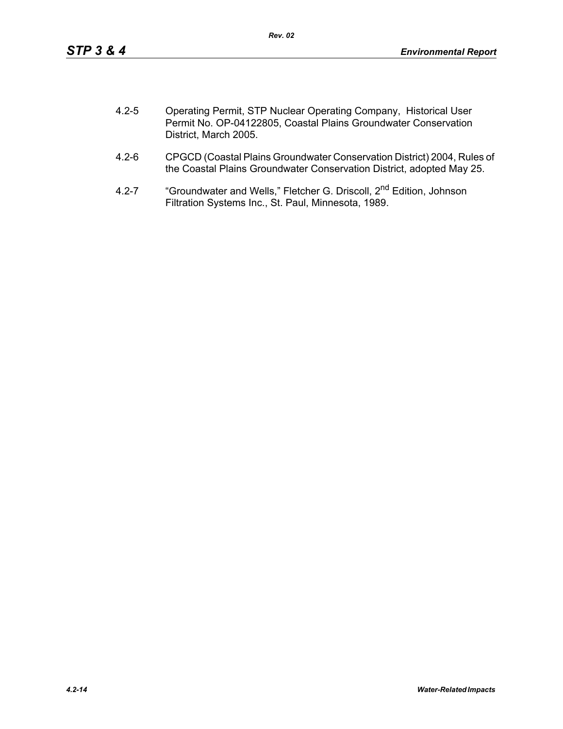| $4.2 - 5$ | Operating Permit, STP Nuclear Operating Company, Historical User |
|-----------|------------------------------------------------------------------|
|           | Permit No. OP-04122805, Coastal Plains Groundwater Conservation  |
|           | District, March 2005.                                            |

- 4.2-6 CPGCD (Coastal Plains Groundwater Conservation District) 2004, Rules of the Coastal Plains Groundwater Conservation District, adopted May 25.
- 4.2-7 "Groundwater and Wells," Fletcher G. Driscoll, 2<sup>nd</sup> Edition, Johnson Filtration Systems Inc., St. Paul, Minnesota, 1989.

*4.2-14 Water-Related Impacts*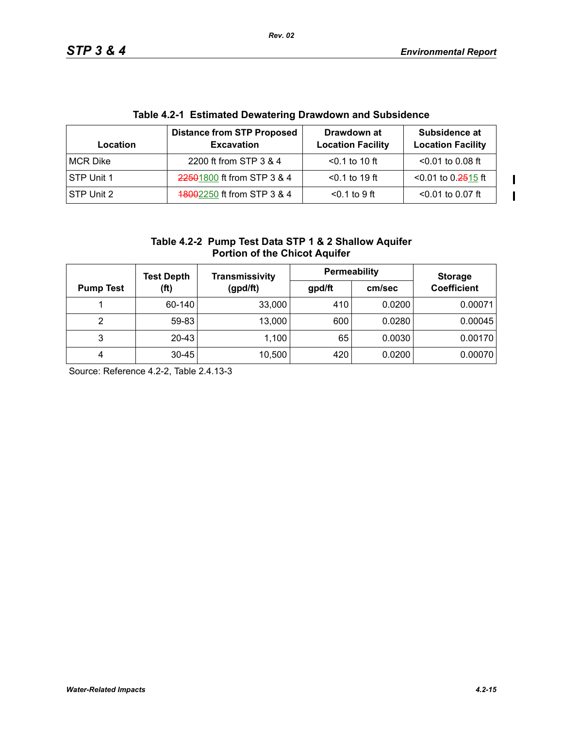$\mathbf I$  $\mathbf{I}$ 

| <b>TANIV TIE TEURINGUM DUMARUMING DIAMAUMII ANA UANGIAUNUU</b> |                                                        |                                         |                                           |  |  |
|----------------------------------------------------------------|--------------------------------------------------------|-----------------------------------------|-------------------------------------------|--|--|
| Location                                                       | <b>Distance from STP Proposed</b><br><b>Excavation</b> | Drawdown at<br><b>Location Facility</b> | Subsidence at<br><b>Location Facility</b> |  |  |
| MCR Dike                                                       | 2200 ft from STP 3 & 4                                 | $< 0.1$ to 10 ft                        | $< 0.01$ to 0.08 ft                       |  |  |
| STP Unit 1                                                     | 22501800 ft from STP 3 & 4                             | $< 0.1$ to 19 ft                        | $< 0.01$ to 0.2515 ft                     |  |  |
| STP Unit 2                                                     | 18002250 ft from STP 3 & 4                             | $0.1$ to 9 ft                           | $< 0.01$ to 0.07 ft                       |  |  |

# **Table 4.2-1 Estimated Dewatering Drawdown and Subsidence**

| Table 4.2-2 Pump Test Data STP 1 & 2 Shallow Aquifer |
|------------------------------------------------------|
| <b>Portion of the Chicot Aquifer</b>                 |

|                  | <b>Test Depth</b>                       | Transmissivity | Permeability |                    | <b>Storage</b> |
|------------------|-----------------------------------------|----------------|--------------|--------------------|----------------|
| <b>Pump Test</b> | (gpd/ft)<br>(f <sup>t</sup> )<br>gpd/ft |                | cm/sec       | <b>Coefficient</b> |                |
|                  | 60-140                                  | 33,000         | 410          | 0.0200             | 0.00071        |
| 2                | 59-83                                   | 13,000         | 600          | 0.0280             | 0.00045        |
| 3                | 20-43                                   | 1,100          | 65           | 0.0030             | 0.00170        |
| 4                | $30 - 45$                               | 10,500         | 420          | 0.0200             | 0.00070        |

Source: Reference 4.2-2, Table 2.4.13-3